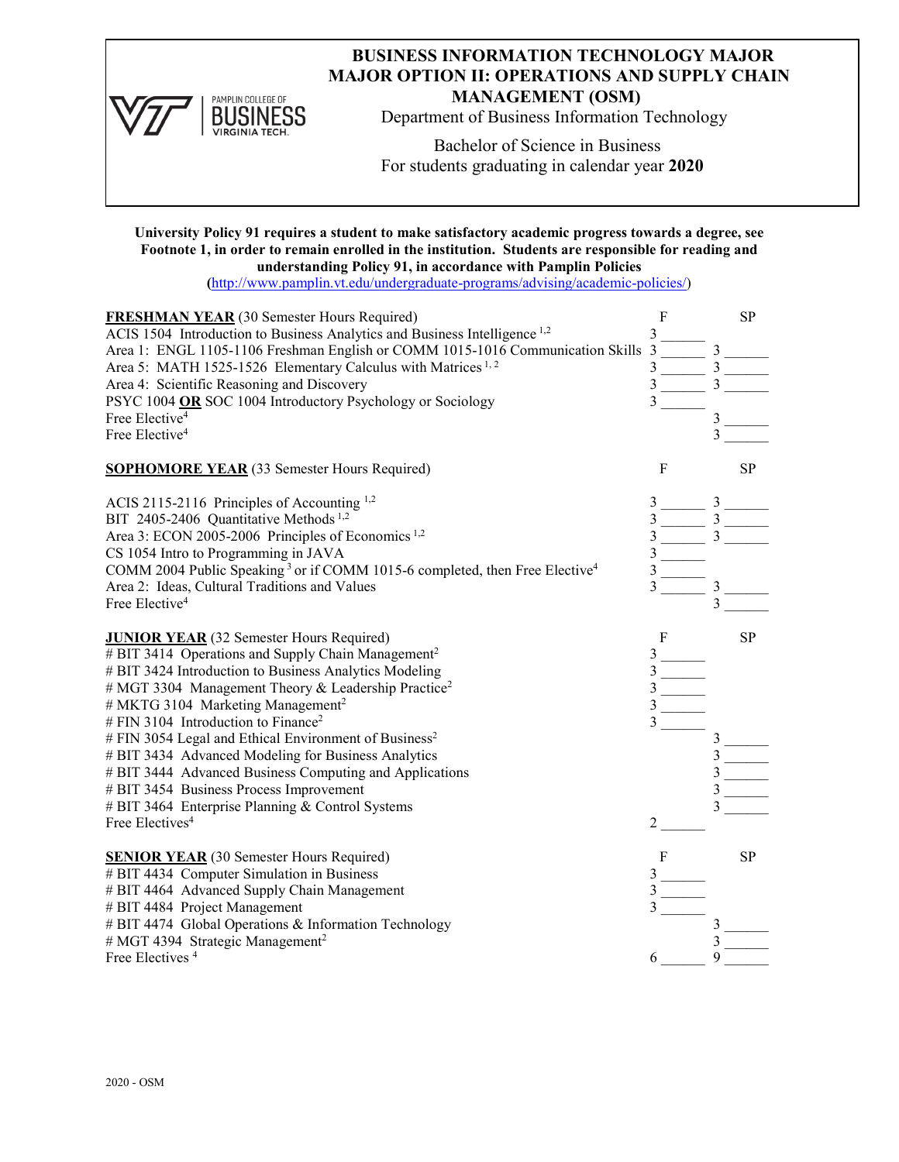

# **BUSINESS INFORMATION TECHNOLOGY MAJOR MAJOR OPTION II: OPERATIONS AND SUPPLY CHAIN MANAGEMENT (OSM)**

Department of Business Information Technology

Bachelor of Science in Business For students graduating in calendar year **2020**

**University Policy 91 requires a student to make satisfactory academic progress towards a degree, see Footnote 1, in order to remain enrolled in the institution. Students are responsible for reading and understanding Policy 91, in accordance with Pamplin Policies** 

**(**[http://www.pamplin.vt.edu/undergraduate-programs/advising/academic-policies/\)](http://www.pamplin.vt.edu/undergraduate-programs/advising/academic-policies/)

| <b>FRESHMAN YEAR</b> (30 Semester Hours Required)<br>ACIS 1504 Introduction to Business Analytics and Business Intelligence <sup>1,2</sup><br>Area 1: ENGL 1105-1106 Freshman English or COMM 1015-1016 Communication Skills 3<br>Area 5: MATH 1525-1526 Elementary Calculus with Matrices <sup>1,2</sup><br>Area 4: Scientific Reasoning and Discovery<br>PSYC 1004 OR SOC 1004 Introductory Psychology or Sociology<br>Free Elective <sup>4</sup><br>Free Elective <sup>4</sup>                                                                                                                                                                                       | $\mathbf F$<br>3<br>$\frac{1}{\sqrt{3}}$ | $\frac{3}{2}$ | <b>SP</b> |
|-------------------------------------------------------------------------------------------------------------------------------------------------------------------------------------------------------------------------------------------------------------------------------------------------------------------------------------------------------------------------------------------------------------------------------------------------------------------------------------------------------------------------------------------------------------------------------------------------------------------------------------------------------------------------|------------------------------------------|---------------|-----------|
| <b>SOPHOMORE YEAR</b> (33 Semester Hours Required)                                                                                                                                                                                                                                                                                                                                                                                                                                                                                                                                                                                                                      | $\mathbf F$                              |               | SP        |
| ACIS 2115-2116 Principles of Accounting 1,2<br>BIT 2405-2406 Quantitative Methods <sup>1,2</sup><br>Area 3: ECON 2005-2006 Principles of Economics <sup>1,2</sup><br>CS 1054 Intro to Programming in JAVA<br>COMM 2004 Public Speaking <sup>3</sup> or if COMM 1015-6 completed, then Free Elective <sup>4</sup><br>Area 2: Ideas, Cultural Traditions and Values<br>Free Elective <sup>4</sup>                                                                                                                                                                                                                                                                         | $\overline{3}$<br>3                      |               |           |
| <b>JUNIOR YEAR</b> (32 Semester Hours Required)<br># BIT 3414 Operations and Supply Chain Management <sup>2</sup><br># BIT 3424 Introduction to Business Analytics Modeling<br># MGT 3304 Management Theory & Leadership Practice <sup>2</sup><br># MKTG 3104 Marketing Management <sup>2</sup><br># FIN 3104 Introduction to Finance <sup>2</sup><br># FIN 3054 Legal and Ethical Environment of Business <sup>2</sup><br># BIT 3434 Advanced Modeling for Business Analytics<br># BIT 3444 Advanced Business Computing and Applications<br># BIT 3454 Business Process Improvement<br># BIT 3464 Enterprise Planning & Control Systems<br>Free Electives <sup>4</sup> | F<br>3<br>2                              |               | <b>SP</b> |
| <b>SENIOR YEAR</b> (30 Semester Hours Required)<br># BIT 4434 Computer Simulation in Business<br># BIT 4464 Advanced Supply Chain Management<br># BIT 4484 Project Management<br># BIT 4474 Global Operations & Information Technology<br># MGT 4394 Strategic Management <sup>2</sup><br>Free Electives <sup>4</sup>                                                                                                                                                                                                                                                                                                                                                   | $\mathbf{F}$                             |               | <b>SP</b> |